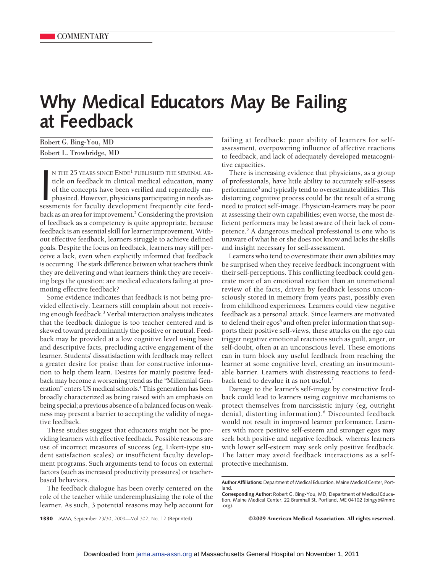## **Why Medical Educators May Be Failing at Feedback**

| Robert G. Bing-You, MD   |  |
|--------------------------|--|
| Robert L. Trowbridge, MD |  |

N THE 25 YEARS SINCE ENDE<sup>1</sup> PUBLISHED THE SEMINAL ARticle on feedback in clinical medical education, many of the concepts have been verified and repeatedly emphasized. However, physicians participating in needs assessment N THE 25 YEARS SINCE ENDE1 PUBLISHED THE SEMINAL ARticle on feedback in clinical medical education, many of the concepts have been verified and repeatedly emphasized. However, physicians participating in needs asback as an area for improvement.<sup>2</sup> Considering the provision of feedback as a competency is quite appropriate, because feedback is an essential skill for learner improvement. Without effective feedback, learners struggle to achieve defined goals. Despite the focus on feedback, learners may still perceive a lack, even when explicitly informed that feedback is occurring. The stark difference between what teachers think they are delivering and what learners think they are receiving begs the question: are medical educators failing at promoting effective feedback?

Some evidence indicates that feedback is not being provided effectively. Learners still complain about not receiving enough feedback.3 Verbal interaction analysis indicates that the feedback dialogue is too teacher centered and is skewed toward predominantly the positive or neutral. Feedback may be provided at a low cognitive level using basic and descriptive facts, precluding active engagement of the learner. Students' dissatisfaction with feedback may reflect a greater desire for praise than for constructive information to help them learn. Desires for mainly positive feedback may become a worsening trend as the "Millennial Generation" enters US medical schools.<sup>4</sup> This generation has been broadly characterized as being raised with an emphasis on being special; a previous absence of a balanced focus on weakness may present a barrier to accepting the validity of negative feedback.

These studies suggest that educators might not be providing learners with effective feedback. Possible reasons are use of incorrect measures of success (eg, Likert-type student satisfaction scales) or insufficient faculty development programs. Such arguments tend to focus on external factors (such as increased productivity pressures) or teacherbased behaviors.

The feedback dialogue has been overly centered on the role of the teacher while underemphasizing the role of the learner. As such, 3 potential reasons may help account for

failing at feedback: poor ability of learners for selfassessment, overpowering influence of affective reactions to feedback, and lack of adequately developed metacognitive capacities.

There is increasing evidence that physicians, as a group of professionals, have little ability to accurately self-assess performance<sup>5</sup> and typically tend to overestimate abilities. This distorting cognitive process could be the result of a strong need to protect self-image. Physician-learners may be poor at assessing their own capabilities; even worse, the most deficient performers may be least aware of their lack of competence.5 A dangerous medical professional is one who is unaware of what he or she does not know and lacks the skills and insight necessary for self-assessment.

Learners who tend to overestimate their own abilities may be surprised when they receive feedback incongruent with their self-perceptions. This conflicting feedback could generate more of an emotional reaction than an unemotional review of the facts, driven by feedback lessons unconsciously stored in memory from years past, possibly even from childhood experiences. Learners could view negative feedback as a personal attack. Since learners are motivated to defend their egos<sup>6</sup> and often prefer information that supports their positive self-views, these attacks on the ego can trigger negative emotional reactions such as guilt, anger, or self-doubt, often at an unconscious level. These emotions can in turn block any useful feedback from reaching the learner at some cognitive level, creating an insurmountable barrier. Learners with distressing reactions to feedback tend to devalue it as not useful.<sup>7</sup>

Damage to the learner's self-image by constructive feedback could lead to learners using cognitive mechanisms to protect themselves from narcissistic injury (eg, outright denial, distorting information).<sup>6</sup> Discounted feedback would not result in improved learner performance. Learners with more positive self-esteem and stronger egos may seek both positive and negative feedback, whereas learners with lower self-esteem may seek only positive feedback. The latter may avoid feedback interactions as a selfprotective mechanism.

**1330** JAMA, September 23/30, 2009—Vol 302, No. 12 (Reprinted) ©2009 American Medical Association. All rights reserved.

**Author Affiliations:** Department of Medical Education, Maine Medical Center, Portland.

**Corresponding Author:** Robert G. Bing-You, MD, Department of Medical Education, Maine Medical Center, 22 Bramhall St, Portland, ME 04102 (bingyb@mmc .org).